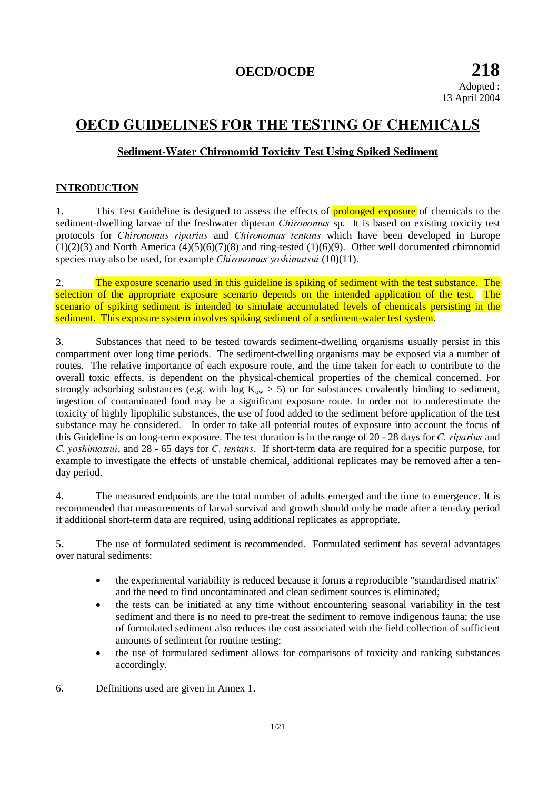## OECD GUIDELINES FOR THE TESTING OF CHEMICALS

### Sediment-Water Chironomid Toxicity Test Using Spiked Sediment

#### **INTRODUCTION**

1. This Test Guideline is designed to assess the effects of prolonged exposure of chemicals to the sediment-dwelling larvae of the freshwater dipteran Chironomus sp. It is based on existing toxicity test protocols for Chironomus riparius and Chironomus tentans which have been developed in Europe  $(1)(2)(3)$  and North America  $(4)(5)(6)(7)(8)$  and ring-tested  $(1)(6)(9)$ . Other well documented chironomid species may also be used, for example *Chironomus yoshimatsui* (10)(11).

2. The exposure scenario used in this guideline is spiking of sediment with the test substance. The selection of the appropriate exposure scenario depends on the intended application of the test. The scenario of spiking sediment is intended to simulate accumulated levels of chemicals persisting in the sediment. This exposure system involves spiking sediment of a sediment-water test system.

3. Substances that need to be tested towards sediment-dwelling organisms usually persist in this compartment over long time periods. The sediment-dwelling organisms may be exposed via a number of routes. The relative importance of each exposure route, and the time taken for each to contribute to the overall toxic effects, is dependent on the physical-chemical properties of the chemical concerned. For strongly adsorbing substances (e.g. with  $\log K_{ow} > 5$ ) or for substances covalently binding to sediment, ingestion of contaminated food may be a significant exposure route. In order not to underestimate the toxicity of highly lipophilic substances, the use of food added to the sediment before application of the test substance may be considered. In order to take all potential routes of exposure into account the focus of this Guideline is on long-term exposure. The test duration is in the range of  $20 - 28$  days for C. *riparius* and C. yoshimatsui, and 28 - 65 days for C. tentans. If short-term data are required for a specific purpose, for example to investigate the effects of unstable chemical, additional replicates may be removed after a tenday period.

4. The measured endpoints are the total number of adults emerged and the time to emergence. It is recommended that measurements of larval survival and growth should only be made after a ten-day period if additional short-term data are required, using additional replicates as appropriate.

5. The use of formulated sediment is recommended. Formulated sediment has several advantages over natural sediments:

- the experimental variability is reduced because it forms a reproducible "standardised matrix" and the need to find uncontaminated and clean sediment sources is eliminated;
- the tests can be initiated at any time without encountering seasonal variability in the test sediment and there is no need to pre-treat the sediment to remove indigenous fauna; the use of formulated sediment also reduces the cost associated with the field collection of sufficient amounts of sediment for routine testing;
- the use of formulated sediment allows for comparisons of toxicity and ranking substances accordingly.
- 6. Definitions used are given in Annex 1.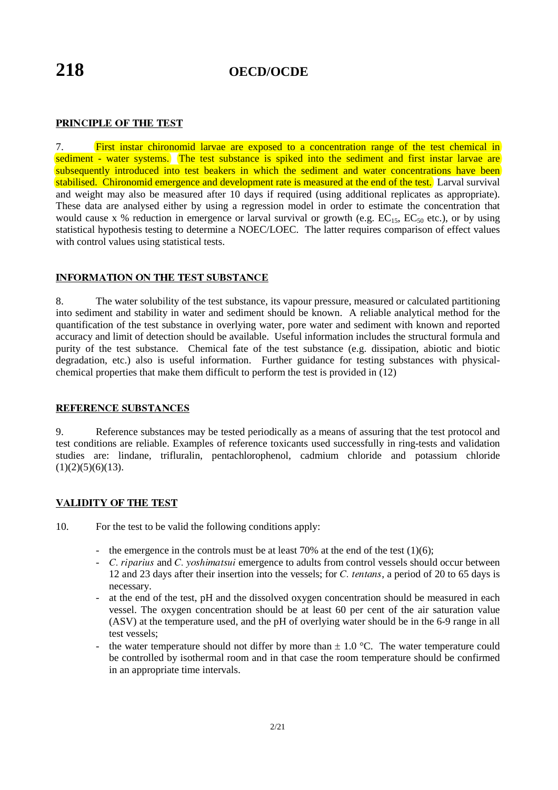#### <u>PRINCIPLE OF THE TEST</u>

7. First instar chironomid larvae are exposed to a concentration range of the test chemical in sediment - water systems. The test substance is spiked into the sediment and first instar larvae are subsequently introduced into test beakers in which the sediment and water concentrations have been stabilised. Chironomid emergence and development rate is measured at the end of the test. Larval survival and weight may also be measured after 10 days if required (using additional replicates as appropriate). These data are analysed either by using a regression model in order to estimate the concentration that would cause x % reduction in emergence or larval survival or growth (e.g.  $EC_{15}$ ,  $EC_{50}$  etc.), or by using statistical hypothesis testing to determine a NOEC/LOEC. The latter requires comparison of effect values with control values using statistical tests.

#### <u>INFORMATION ON THE TEST SUBSTANCE</u>

8. The water solubility of the test substance, its vapour pressure, measured or calculated partitioning into sediment and stability in water and sediment should be known. A reliable analytical method for the quantification of the test substance in overlying water, pore water and sediment with known and reported accuracy and limit of detection should be available. Useful information includes the structural formula and purity of the test substance. Chemical fate of the test substance (e.g. dissipation, abiotic and biotic degradation, etc.) also is useful information. Further guidance for testing substances with physicalchemical properties that make them difficult to perform the test is provided in (12)

#### **REFERENCE SUBSTANCES**

9. Reference substances may be tested periodically as a means of assuring that the test protocol and test conditions are reliable. Examples of reference toxicants used successfully in ring-tests and validation studies are: lindane, trifluralin, pentachlorophenol, cadmium chloride and potassium chloride  $(1)(2)(5)(6)(13).$ 

#### <u>VALIDITY OF THE TEST</u>

- 10. For the test to be valid the following conditions apply:
	- the emergence in the controls must be at least 70% at the end of the test  $(1)(6)$ ;
- C. riparius and C. yoshimatsui emergence to adults from control vessels should occur between 12 and 23 days after their insertion into the vessels; for  $C$ , tentans, a period of 20 to 65 days is necessary.
	- at the end of the test, pH and the dissolved oxygen concentration should be measured in each vessel. The oxygen concentration should be at least 60 per cent of the air saturation value (ASV) at the temperature used, and the pH of overlying water should be in the 6-9 range in all test vessels;
	- the water temperature should not differ by more than  $\pm 1.0$  °C. The water temperature could be controlled by isothermal room and in that case the room temperature should be confirmed in an appropriate time intervals.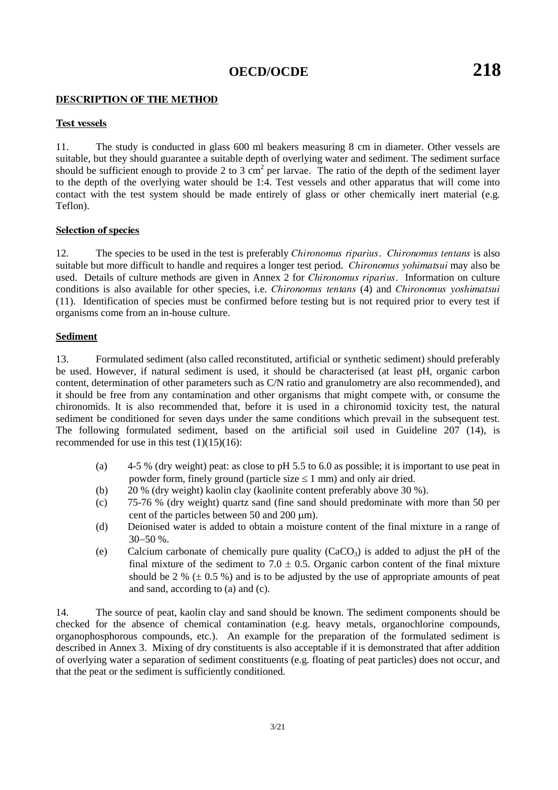#### Test vessels

11. The study is conducted in glass 600 ml beakers measuring 8 cm in diameter. Other vessels are suitable, but they should guarantee a suitable depth of overlying water and sediment. The sediment surface should be sufficient enough to provide 2 to 3  $\text{cm}^2$  per larvae. The ratio of the depth of the sediment layer to the depth of the overlying water should be 1:4. Test vessels and other apparatus that will come into contact with the test system should be made entirely of glass or other chemically inert material (e.g. Teflon).

#### **Selection of species**

12. The species to be used in the test is preferably *Chironomus riparius. Chironomus tentans* is also suitable but more difficult to handle and requires a longer test period. Chironomus yohimatsui may also be used. Details of culture methods are given in Annex 2 for Chironomus riparius. Information on culture conditions is also available for other species, i.e. Chironomus tentans (4) and Chironomus yoshimatsui (11). Identification of species must be confirmed before testing but is not required prior to every test if organisms come from an in-house culture.

#### **Sediment**

13. Formulated sediment (also called reconstituted, artificial or synthetic sediment) should preferably be used. However, if natural sediment is used, it should be characterised (at least pH, organic carbon content, determination of other parameters such as C/N ratio and granulometry are also recommended), and it should be free from any contamination and other organisms that might compete with, or consume the chironomids. It is also recommended that, before it is used in a chironomid toxicity test, the natural sediment be conditioned for seven days under the same conditions which prevail in the subsequent test. The following formulated sediment, based on the artificial soil used in Guideline 207 (14), is recommended for use in this test  $(1)(15)(16)$ :

- (a) 4-5 % (dry weight) peat: as close to pH 5.5 to 6.0 as possible; it is important to use peat in powder form, finely ground (particle size  $\leq 1$  mm) and only air dried.
- (b) 20 % (dry weight) kaolin clay (kaolinite content preferably above 30 %).
- (c) 75-76 % (dry weight) quartz sand (fine sand should predominate with more than 50 per cent of the particles between 50 and 200  $\mu$ m).
- (d) Deionised water is added to obtain a moisture content of the final mixture in a range of  $30 - 50$  %.
- (e) Calcium carbonate of chemically pure quality  $(CaCO<sub>3</sub>)$  is added to adjust the pH of the final mixture of the sediment to  $7.0 \pm 0.5$ . Organic carbon content of the final mixture should be 2 %  $(\pm 0.5 \%)$  and is to be adjusted by the use of appropriate amounts of peat and sand, according to (a) and (c).

14. The source of peat, kaolin clayand sand should be known. The sediment components should be checked for the absence of chemical contamination (e.g. heavy metals, organochlorine compounds, organophosphorous compounds, etc.). An example for the preparation of the formulated sediment is described in Annex 3. Mixing of dry constituents is also acceptable if it is demonstrated that after addition of overlying water a separation of sediment constituents (e.g. floating of peat particles) does not occur, and that the peat or the sediment is sufficiently conditioned.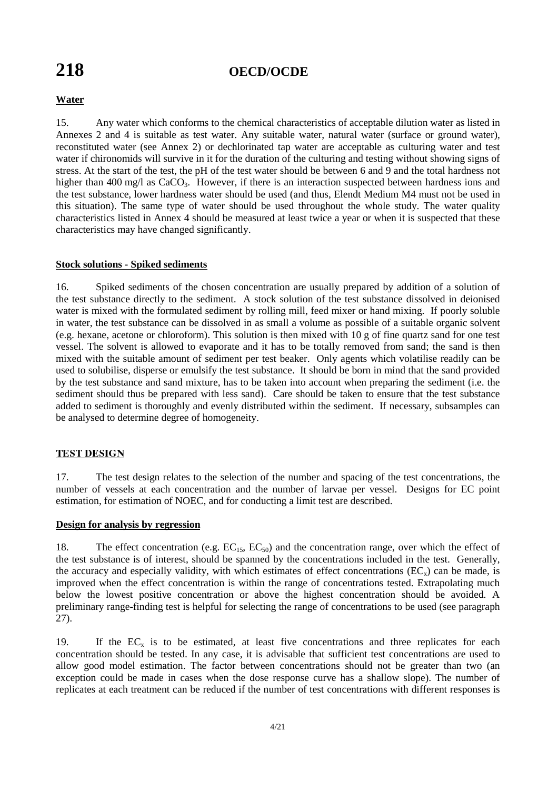#### **Water**

15. Any water which conforms to the chemical characteristics of acceptable dilution water as listed in Annexes 2 and 4 is suitable as test water. Any suitable water, natural water (surface or ground water), reconstituted water (see Annex 2) or dechlorinated tap water are acceptable as culturing water and test water if chironomids will survive in it for the duration of the culturing and testing without showing signs of stress. At the start of the test, the pH of the test water should be between 6 and 9 and the total hardness not higher than 400 mg/l as CaCO<sub>3</sub>. However, if there is an interaction suspected between hardness ions and the test substance, lower hardness water should be used (and thus, Elendt Medium M4 must not be used in this situation). The same type of water should be used throughout the whole study. The water quality characteristics listed in Annex 4 should be measured at least twice a year or when it is suspected that these characteristics may have changed significantly.

#### **Stock solutions - Spiked sediments**

16. Spiked sediments of the chosen concentration are usually prepared by addition of a solution of the test substance directly to the sediment. A stock solution of the test substance dissolved in deionised water is mixed with the formulated sediment by rolling mill, feed mixer or hand mixing. If poorly soluble in water, the test substance can be dissolved in as small a volume as possible of a suitable organic solvent (e.g. hexane, acetone or chloroform). This solution is then mixed with 10 g of fine quartz sand for one test vessel. The solvent is allowed to evaporate and it has to be totally removed from sand; the sand is then mixed with the suitable amount of sediment per test beaker. Only agents which volatilise readily can be used to solubilise, disperse or emulsify the test substance. It should be born in mind that the sand provided by the test substance and sand mixture, has to be taken into account when preparing the sediment (i.e. the sediment should thus be prepared with less sand). Care should be taken to ensure that the test substance added to sediment is thoroughly and evenly distributed within the sediment. If necessary, subsamples can be analysed to determine degree of homogeneity.

#### <u>TEST DESIGN</u>

17. The test design relates to the selection of the number and spacing of the test concentrations, the number of vessels at each concentration and the number of larvae per vessel. Designs for EC point estimation, for estimation of NOEC, and for conducting a limit test are described.

#### **Design for analysis by regression**

18. The effect concentration (e.g.  $EC_{15}$ ,  $EC_{50}$ ) and the concentration range, over which the effect of the test substance is of interest, should be spanned by the concentrations included in the test. Generally, the accuracy and especially validity, with which estimates of effect concentrations  $(EC_x)$  can be made, is improved when the effect concentration is within the range of concentrations tested. Extrapolating much below the lowest positive concentration or above the highest concentration should be avoided. A preliminary range-finding test is helpful for selecting the range of concentrations to be used (see paragraph 27).

19. If the  $EC_x$  is to be estimated, at least five concentrations and three replicates for each concentration should be tested. In any case, it is advisable that sufficient test concentrations are used to allow good model estimation. The factor between concentrations should not be greater than two (an exception could be made in cases when the dose response curve has a shallow slope). The number of replicates at each treatment can be reduced if the number of test concentrations with different responses is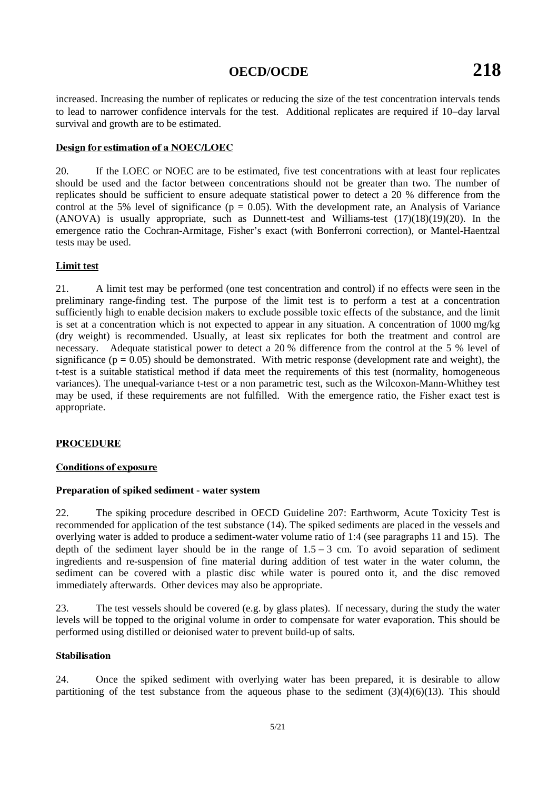increased. Increasing the number of replicates or reducing the size of the test concentration intervals tends to lead to narrower confidence intervals for the test. Additional replicates are required if 10-day larval survival and growth are to be estimated.

#### Design for estimation of a NOEC/LOEC

20. If the LOEC or NOEC are to be estimated, five test concentrations with at least four replicates should be used and the factor between concentrations should not be greater than two. The number of replicates should be sufficient to ensure adequate statistical power to detect a 20 % difference from the control at the 5% level of significance ( $p = 0.05$ ). With the development rate, an Analysis of Variance (ANOVA) is usually appropriate, such as Dunnett-test and Williams-test  $(17)(18)(19)(20)$ . In the emergence ratio the Cochran-Armitage, Fisher's exact (with Bonferroni correction), or Mantel-Haentzal tests may be used.

#### **Limit test**

21. A limit test may be performed (one test concentration and control) if no effects were seen in the preliminary range-finding test. The purpose of the limit test is to perform a test at a concentration sufficiently high to enable decision makers to exclude possible toxic effects of the substance, and the limit is set at a concentration which is not expected to appear in any situation. A concentration of 1000 mg/kg (dry weight) is recommended. Usually, at least six replicates for both the treatment and control are necessary. Adequate statistical power to detect a 20 % difference from the control at the 5 % level of significance ( $p = 0.05$ ) should be demonstrated. With metric response (development rate and weight), the t-test is a suitable statistical method if data meet the requirements of this test (normality, homogeneous variances). The unequal-variance t-test or a non parametric test, such as the Wilcoxon-Mann-Whithey test may be used, if these requirements are not fulfilled. With the emergence ratio, the Fisher exact test is appropriate.

#### <u>PROCEDURE</u>

#### Conditions of exposure

#### **Preparation of spiked sediment - water system**

22. The spiking procedure described in OECD Guideline 207: Earthworm, Acute Toxicity Test is recommended for application of the test substance (14). The spiked sediments are placed in the vessels and overlying water is added to produce a sediment-water volume ratio of 1:4 (see paragraphs 11 and 15). The depth of the sediment layer should be in the range of  $1.5 - 3$  cm. To avoid separation of sediment ingredients and re-suspension of fine material during addition of test water in the water column, the sediment can be covered with a plastic disc while water is poured onto it, and the disc removed immediately afterwards. Other devices may also be appropriate.

23. The test vessels should be covered (e.g. by glass plates). If necessary, during the study the water levels will be topped to the original volume in order to compensate for water evaporation. This should be performed using distilled or deionised water to prevent build-up of salts.

#### Stabilisation

24. Once the spiked sediment with overlying water has been prepared, it is desirable to allow partitioning of the test substance from the aqueous phase to the sediment  $(3)(4)(6)(13)$ . This should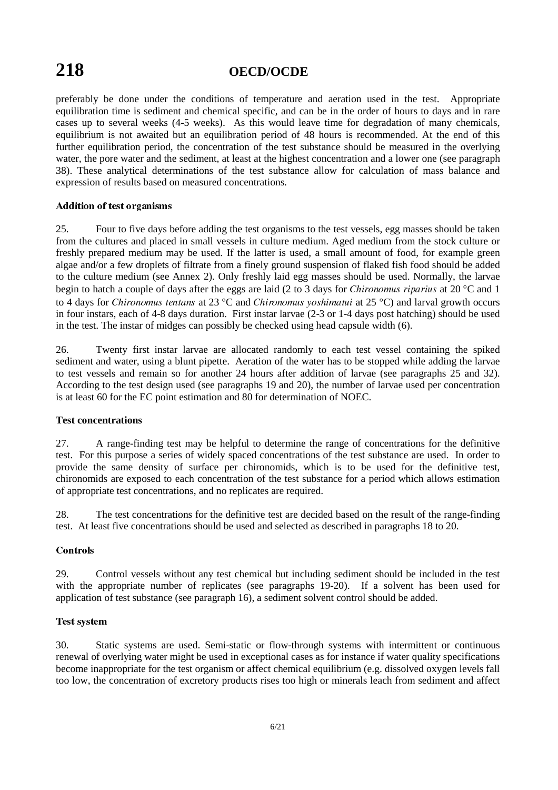preferably be done under the conditions of temperature and aeration used in the test. Appropriate equilibration time is sediment and chemical specific, and can be in the order of hours to days and in rare cases up to several weeks (4-5 weeks). As this would leave time for degradation of many chemicals, equilibrium is not awaited but an equilibration period of 48 hours is recommended. At the end of this further equilibration period, the concentration of the test substance should be measured in the overlying water, the pore water and the sediment, at least at the highest concentration and a lower one (see paragraph 38). These analytical determinations of the test substance allow for calculation of mass balance and expression of results based on measured concentrations.

#### Addition of test organisms

25. Four to five days before adding the test organisms to the test vessels, egg masses should be taken from the cultures and placed in small vessels in culture medium. Aged medium from the stock culture or freshly prepared medium may be used. If the latter is used, a small amount of food, for example green algae and/or a few droplets of filtrate from a finely ground suspension of flaked fish food should be added to the culture medium (see Annex 2). Only freshly laid egg masses should be used. Normally, the larvae begin to hatch a couple of days after the eggs are laid (2 to 3 days for *Chironomus riparius* at 20  $^{\circ}$ C and 1 to 4 days for *Chironomus tentans* at 23 °C and *Chironomus yoshimatui* at 25 °C) and larval growth occurs in four instars, each of 4-8 days duration. First instar larvae (2-3 or 1-4 days post hatching) should be used in the test. The instar of midges can possibly be checked using head capsule width (6).

26. Twenty first instar larvae are allocated randomly to each test vessel containing the spiked sediment and water, using a blunt pipette. Aeration of the water has to be stopped while adding the larvae to test vessels and remain so for another 24 hours after addition of larvae (see paragraphs 25 and 32). According to the test design used (see paragraphs 19 and 20), the number of larvae used per concentration is at least 60 for the EC point estimation and 80 for determination of NOEC.

#### **Test concentrations**

27. A range-finding test may be helpful to determine the range of concentrations for the definitive test. For this purpose a series of widely spaced concentrations of the test substance are used. In order to provide the same density of surface per chironomids, which is to be used for the definitive test, chironomids are exposed to each concentration of the test substance for a period which allows estimation of appropriate test concentrations, and no replicates are required.

28. The test concentrations for the definitive test are decided based on the result of the range-finding test. At least five concentrations should be used and selected as described in paragraphs 18 to 20.

#### Controls

29. Control vessels without any test chemical but including sediment should be included in the test with the appropriate number of replicates (see paragraphs 19-20). If a solvent has been used for application of test substance (see paragraph 16), a sediment solvent control should be added.

#### **Test system**

30. Static systems are used. Semi-static or flow-through systems with intermittent or continuous renewal of overlying water might be used in exceptional cases as for instance if water quality specifications become inappropriate for the test organism or affect chemical equilibrium (e.g. dissolved oxygen levels fall too low, the concentration of excretory products rises too high or minerals leach from sediment and affect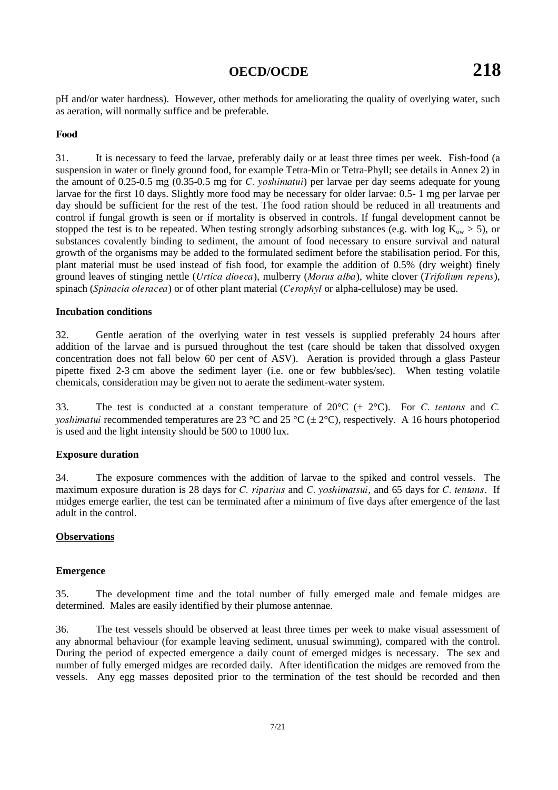pH and/or water hardness). However, other methods for ameliorating the quality of overlying water, such as aeration, will normally suffice and be preferable.

#### Food

31. It is necessary to feed the larvae, preferably daily or at least three times per week. Fish-food (a suspension in water or finely ground food, for example Tetra-Min or Tetra-Phyll; see details in Annex 2) in the amount of  $0.25$ -0.5 mg  $(0.35$ -0.5 mg for C. *yoshimatui*) per larvae per day seems adequate for young larvae for the first 10 days. Slightly more food may be necessary for older larvae: 0.5- 1 mg per larvae per day should be sufficient for the rest of the test. The food ration should be reduced in all treatments and control if fungal growth is seen or if mortality is observed in controls. If fungal development cannot be stopped the test is to be repeated. When testing strongly adsorbing substances (e.g. with log  $K_{ow} > 5$ ), or substances covalently binding to sediment, the amount of food necessary to ensure survival and natural growth of the organisms may be added to the formulated sediment before the stabilisation period. For this, plant material must be used instead of fish food, for example the addition of 0.5% (dry weight) finely ground leaves of stinging nettle (*Urtica dioeca*), mulberry (*Morus alba*), white clover (*Trifolium repens*), spinach (Spinacia oleracea) or of other plant material (Cerophyl or alpha-cellulose) may be used.

#### **Incubation conditions**

32. Gentle aeration of the overlying water in test vessels is supplied preferably 24 hours after addition of the larvae and is pursued throughout the test (care should be taken that dissolved oxygen concentration does not fall below 60 per cent of ASV). Aeration is provided through a glass Pasteur pipette fixed 2-3 cm above the sediment layer (i.e. one or few bubbles/sec). When testing volatile chemicals, consideration may be given not to aerate the sediment-water system.

33. The test is conducted at a constant temperature of  $20^{\circ}$ C ( $\pm$  2°C). For *C. tentans* and *C. yoshimatui* recommended temperatures are 23 °C and 25 °C ( $\pm$  2°C), respectively. A 16 hours photoperiod is used and the light intensity should be 500 to 1000 lux.

#### **Exposure duration**

34. The exposure commences with the addition of larvae to the spiked and control vessels. The maximum exposure duration is 28 days for C. riparius and C. yoshimatsui, and 65 days for C. tentans. If midges emerge earlier, the test can be terminated after a minimum of five days after emergence of the last adult in the control.

#### **Observations**

#### **Emergence**

35. The development time and the total number of fully emerged male and female midges are determined. Males are easily identified by their plumose antennae.

36. The test vessels should be observed at least three times per week to make visual assessment of any abnormal behaviour (for example leaving sediment, unusual swimming), compared with the control. During the period of expected emergence a daily count of emerged midges is necessary. The sex and number of fully emerged midges are recorded daily. After identification the midges are removed from the vessels. Any egg masses deposited prior to the termination of the test should be recorded and then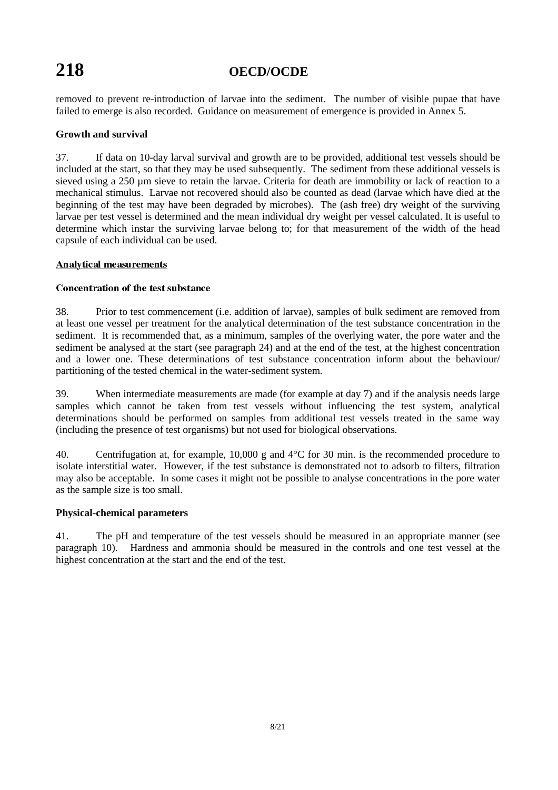removed to prevent re-introduction of larvae into the sediment. The number of visible pupae that have failed to emerge is also recorded. Guidance on measurement of emergence is provided in Annex 5.

#### **Growth and survival**

37. If data on 10-day larval survival and growth are to be provided, additional test vessels should be included at the start, so that they may be used subsequently. The sediment from these additional vessels is sieved using a 250 µm sieve to retain the larvae. Criteria for death are immobility or lack of reaction to a mechanical stimulus. Larvae not recovered should also be counted as dead (larvae which have died at the beginning of the test may have been degraded by microbes). The (ash free) dry weight of the surviving larvae per test vessel is determined and the mean individual dry weight per vessel calculated. It is useful to determine which instar the surviving larvae belong to; for that measurement of the width of the head capsule of each individual can be used.

#### Analytical measurements

#### Concentration of the test substance

38. Prior to test commencement (i.e. addition of larvae), samples of bulk sediment are removed from at least one vessel per treatment for the analytical determination of the test substance concentration in the sediment. It is recommended that, as a minimum, samples of the overlying water, the pore water and the sediment be analysed at the start (see paragraph 24) and at the end of the test, at the highest concentration and a lower one. These determinations of test substance concentration inform about the behaviour/ partitioning of the tested chemical in the water-sediment system.

39. When intermediate measurements are made (for example at day 7) and if the analysis needs large samples which cannot be taken from test vessels without influencing the test system, analytical determinations should be performed on samples from additional test vessels treated in the same way (including the presence of test organisms) but not used for biological observations.

40. Centrifugation at, for example,  $10,000$  g and  $4^{\circ}$ C for 30 min. is the recommended procedure to isolate interstitial water. However, if the test substance is demonstrated not to adsorb to filters, filtration may also be acceptable. In some cases it might not be possible to analyse concentrations in the pore water as the sample size is too small.

#### **Physical-chemical parameters**

41. The pH and temperature of the test vessels should be measured in an appropriate manner (see paragraph 10). Hardness and ammonia should be measured in the controls and one test vessel at the highest concentration at the start and the end of the test.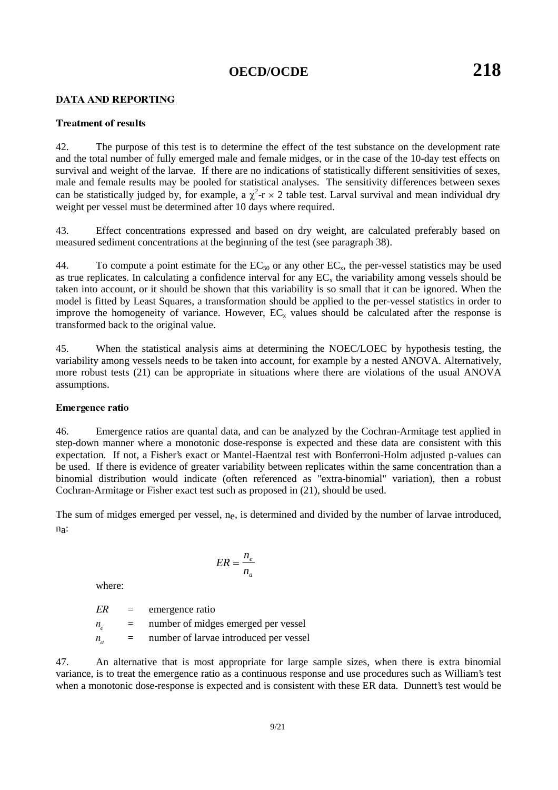#### <u>DATA AND REPORTING</u>

#### **Treatment of results**

42. The purpose of this test is to determine the effect of the test substance on the development rate and the total number of fully emerged male and female midges, or in the case of the 10-day test effects on survival and weight of the larvae. If there are no indications of statistically different sensitivities of sexes, male and female results may be pooled for statistical analyses. The sensitivity differences between sexes can be statistically judged by, for example, a  $\chi^2$ -r  $\times$  2 table test. Larval survival and mean individual dry weight per vessel must be determined after 10 days where required.

43. Effect concentrations expressed and based on dry weight, are calculated preferably based on measured sediment concentrations at the beginning of the test (see paragraph 38).

44. To compute a point estimate for the  $EC_{50}$  or any other  $EC_{x}$ , the per-vessel statistics may be used as true replicates. In calculating a confidence interval for any  $EC<sub>x</sub>$  the variability among vessels should be taken into account, or it should be shown that this variability is so small that it can be ignored. When the model is fitted by Least Squares, a transformation should be applied to the per-vessel statistics in order to improve the homogeneity of variance. However,  $EC<sub>x</sub>$  values should be calculated after the response is transformed back to the original value.

45. When the statistical analysis aims at determining the NOEC/LOEC by hypothesis testing, the variability among vessels needs to be taken into account, for example by a nested ANOVA. Alternatively, more robust tests (21) can be appropriate in situations where there are violations of the usual ANOVA assumptions.

#### **Emergence ratio**

46. Emergence ratios are quantal data, and can be analyzed by the Cochran-Armitage test applied in step-down manner where a monotonic dose-response is expected and these data are consistent with this expectation. If not, a Fisher's exact or Mantel-Haentzal test with Bonferroni-Holm adjusted p-values can be used. If there is evidence of greater variability between replicates within the same concentration than a binomial distribution would indicate (often referenced as "extra-binomial" variation), then a robust Cochran-Armitage or Fisher exact test such as proposed in (21), should be used.

The sum of midges emerged per vessel, n<sub>e</sub>, is determined and divided by the number of larvae introduced, na:

$$
ER = \frac{n_e}{n_a}
$$

where:

 $ER =$  emergence ratio  $n_{\scriptscriptstyle e}$  = number of midges emerged per vessel  $n_a$  = number of larvae introduced per vessel

47. An alternative that is most appropriate for large sample sizes, when there is extra binomial variance, is to treat the emergence ratio as a continuous response and use procedures such as William's test when a monotonic dose-response is expected and is consistent with these ER data. Dunnett's test would be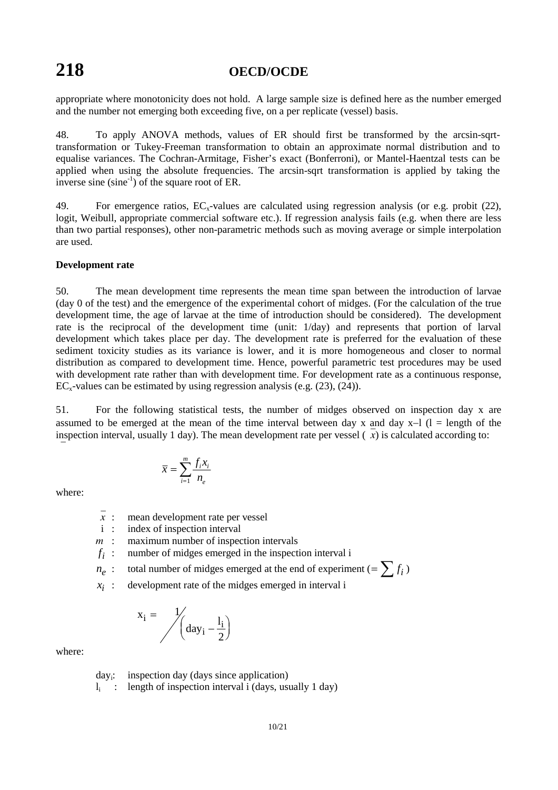appropriate where monotonicity does not hold. A large sample size is defined here as the number emerged and the number not emerging both exceeding five, on a per replicate (vessel) basis.

48. To apply ANOVA methods, values of ER should first be transformed by the arcsin-sqrttransformation or Tukey-Freeman transformation to obtain an approximate normal distribution and to equalise variances. The Cochran-Armitage, Fisher's exact (Bonferroni), or Mantel-Haentzal tests can be applied when using the absolute frequencies. The arcsin-sqrt transformation is applied by taking the inverse sine  $(sine^{-1})$  of the square root of ER.

49. For emergence ratios,  $EC_x$ -values are calculated using regression analysis (or e.g. probit (22), logit, Weibull, appropriate commercial software etc.). If regression analysis fails (e.g. when there are less than two partial responses), other non-parametric methods such as moving average or simple interpolation are used.

#### **Development rate**

50. The mean development time represents the mean time span between the introduction of larvae (day 0 of the test) and the emergence of the experimental cohort of midges. (For the calculation of the true development time, the age of larvae at the time of introduction should be considered). The development rate is the reciprocal of the development time (unit: 1/day) and represents that portion of larval development which takes place per day. The development rate is preferred for the evaluation of these sediment toxicity studies as its variance is lower, and it is more homogeneous and closer to normal distribution as compared to development time. Hence, powerful parametric test procedures may be used with development rate rather than with development time. For development rate as a continuous response,  $EC<sub>x</sub>$ -values can be estimated by using regression analysis (e.g. (23), (24)).

51. For the following statistical tests, the number of midges observed on inspection day x are assumed to be emerged at the mean of the time interval between day x and day  $x-1$  (l = length of the inspection interval, usually 1 day). The mean development rate per vessel  $(x)$  is calculated according to:

$$
\overline{x} = \sum_{i=1}^{m} \frac{f_i x_i}{n_e}
$$

where:

 $x :$  mean development rate per vessel

- i : index of inspection interval
- $m$ : maximum number of inspection intervals
- $f_i$ : number of midges emerged in the inspection interval i

 $n_e$ : total number of midges emerged at the end of experiment (=  $\sum f_i$ )

*xi* : development rate of the midges emerged in interval i

$$
x_i = \frac{1}{\sqrt{\left(\text{day}_i - \frac{l_i}{2}\right)}}
$$

where:

dayi: inspection day (days since application)

 $l_i$ : length of inspection interval i (days, usually 1 day)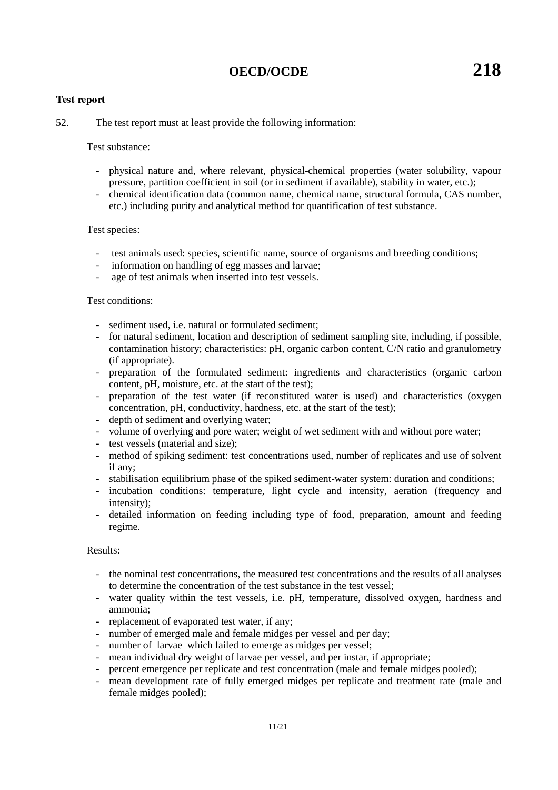#### <u>Test report</u>

52. The test report must at least provide the following information:

Test substance:

- physical nature and, where relevant, physical-chemical properties (water solubility, vapour pressure, partition coefficient in soil (or in sediment if available), stability in water, etc.);
- chemical identification data (common name, chemical name, structural formula, CAS number, etc.) including purity and analytical method for quantification of test substance.

#### Test species:

- test animals used: species, scientific name, source of organisms and breeding conditions;
- information on handling of egg masses and larvae;
- age of test animals when inserted into test vessels.

#### Test conditions:

- sediment used, i.e. natural or formulated sediment:
- for natural sediment, location and description of sediment sampling site, including, if possible, contamination history; characteristics: pH, organic carbon content, C/N ratio and granulometry (if appropriate).
- preparation of the formulated sediment: ingredients and characteristics (organic carbon content, pH, moisture, etc. at the start of the test);
- preparation of the test water (if reconstituted water is used) and characteristics (oxygen concentration, pH, conductivity, hardness, etc. at the start of the test);
- depth of sediment and overlying water;
- volume of overlying and pore water; weight of wet sediment with and without pore water;
- test vessels (material and size);
- method of spiking sediment: test concentrations used, number of replicates and use of solvent if any;
- stabilisation equilibrium phase of the spiked sediment-water system: duration and conditions;
- incubation conditions: temperature, light cycle and intensity, aeration (frequency and intensity);
- detailed information on feeding including type of food, preparation, amount and feeding regime.

#### Results:

- the nominal test concentrations, the measured test concentrations and the results of all analyses to determine the concentration of the test substance in the test vessel;
- water quality within the test vessels, i.e. pH, temperature, dissolved oxygen, hardness and ammonia;
- replacement of evaporated test water, if any;
- number of emerged male and female midges per vessel and per day;
- number of larvae which failed to emerge as midges per vessel;
- mean individual dry weight of larvae per vessel, and per instar, if appropriate;
	- percent emergence per replicate and test concentration (male and female midges pooled);
- mean development rate of fully emerged midges per replicate and treatment rate (male and female midges pooled);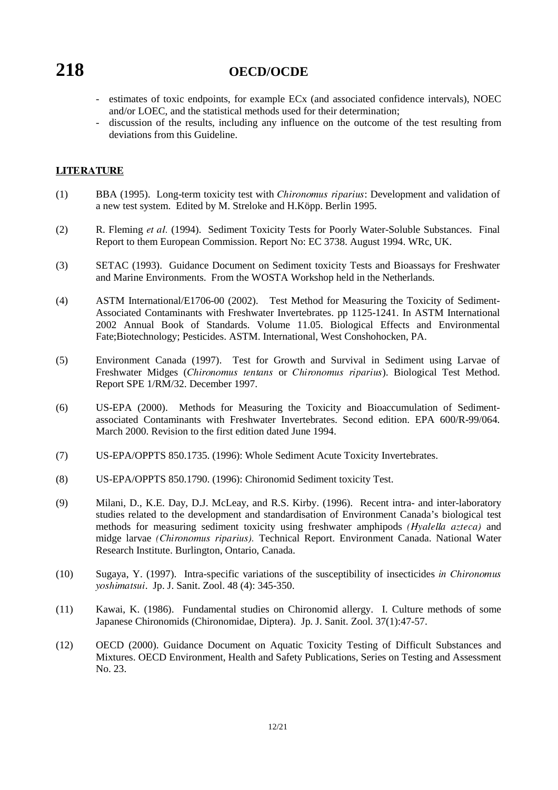- estimates of toxic endpoints, for example ECx (and associated confidence intervals), NOEC and/or LOEC, and the statistical methods used for their determination;
- discussion of the results, including any influence on the outcome of the test resulting from deviations from this Guideline.

#### <u>LITERATURE</u>

- (1) BBA (1995). Long-term toxicity test with *Chironomus riparius*: Development and validation of a new test system. Edited by M. Streloke and H.Köpp. Berlin 1995.
- (2) R. Fleming et al. (1994). Sediment Toxicity Tests for Poorly Water-Soluble Substances. Final Report to them European Commission. Report No: EC 3738. August 1994. WRc, UK.
- (3) SETAC (1993). Guidance Document on Sediment toxicity Tests and Bioassays for Freshwater and Marine Environments. From the WOSTA Workshop held in the Netherlands.
- (4) ASTM International/E1706-00 (2002). Test Method for Measuring the Toxicity of Sediment-Associated Contaminants with Freshwater Invertebrates. pp 1125-1241. In ASTM International 2002 Annual Book of Standards. Volume 11.05. Biological Effects and Environmental Fate;Biotechnology; Pesticides. ASTM. International, West Conshohocken, PA.
- (5) Environment Canada (1997). Test for Growth and Survival in Sediment using Larvae of Freshwater Midges (Chironomus tentans or Chironomus riparius). Biological Test Method. Report SPE 1/RM/32. December 1997.
- (6) US-EPA (2000). Methods for Measuring the Toxicity and Bioaccumulation of Sedimentassociated Contaminants with Freshwater Invertebrates. Second edition. EPA 600/R-99/064. March 2000. Revision to the first edition dated June 1994.
- (7) US-EPA/OPPTS 850.1735. (1996): Whole Sediment Acute Toxicity Invertebrates.
- (8) US-EPA/OPPTS 850.1790. (1996): Chironomid Sediment toxicity Test.
- (9) Milani, D., K.E. Day, D.J. McLeay, and R.S. Kirby. (1996). Recent intra- and inter-laboratory studies related to the development and standardisation of Environment Canada's biological test methods for measuring sediment toxicity using freshwater amphipods (Hyalella azteca) and midge larvae (Chironomus riparius). Technical Report. Environment Canada. National Water Research Institute. Burlington, Ontario, Canada.
- (10) Sugaya, Y. (1997). Intra-specific variations of the susceptibility of insecticides in Chironomus yoshimatsui. Jp. J. Sanit. Zool. 48 (4): 345-350.
- (11) Kawai, K. (1986). Fundamental studies on Chironomid allergy. I. Culture methods of some Japanese Chironomids (Chironomidae, Diptera). Jp. J. Sanit. Zool. 37(1):47-57.
- (12) OECD (2000). Guidance Document on Aquatic Toxicity Testing of Difficult Substances and Mixtures. OECD Environment, Health and Safety Publications, Series on Testing and Assessment No. 23.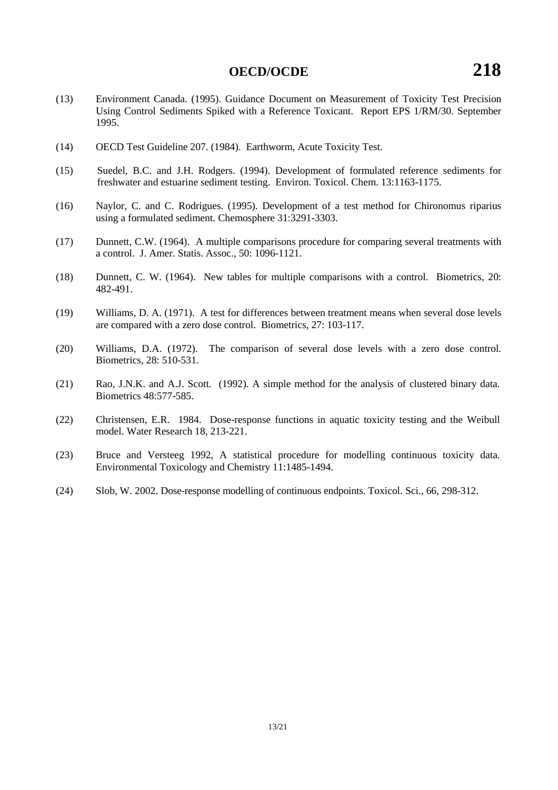- (13) Environment Canada. (1995). Guidance Document on Measurement of Toxicity Test Precision Using Control Sediments Spiked with a Reference Toxicant. Report EPS 1/RM/30. September 1995.
- (14) OECD Test Guideline 207. (1984). Earthworm, Acute Toxicity Test.
- (15) Suedel, B.C. and J.H. Rodgers. (1994). Development of formulated reference sediments for freshwater and estuarine sediment testing. Environ. Toxicol. Chem. 13:1163-1175.
- (16) Naylor, C. and C. Rodrigues. (1995). Development of a test method for Chironomus riparius using a formulated sediment. Chemosphere 31:3291-3303.
- (17) Dunnett, C.W. (1964). A multiple comparisons procedure for comparing several treatments with a control. J. Amer. Statis. Assoc., 50: 1096-1121.
- (18) Dunnett, C. W. (1964). New tables for multiple comparisons with a control. Biometrics, 20: 482-491.
- (19) Williams, D. A. (1971). A test for differences between treatment means when several dose levels are compared with a zero dose control. Biometrics, 27: 103-117.
- (20) Williams, D.A. (1972). The comparison of several dose levels with a zero dose control. Biometrics, 28: 510-531.
- (21) Rao, J.N.K. and A.J. Scott. (1992). A simple method for the analysis of clustered binary data. Biometrics 48:577-585.
- (22) Christensen, E.R. 1984. Dose-response functions in aquatic toxicity testing and the Weibull model. Water Research 18, 213-221.
- (23) Bruce and Versteeg 1992, A statistical procedure for modelling continuous toxicity data. Environmental Toxicology and Chemistry 11:1485-1494.
- (24) Slob, W. 2002. Dose-response modelling of continuous endpoints. Toxicol. Sci., 66, 298-312.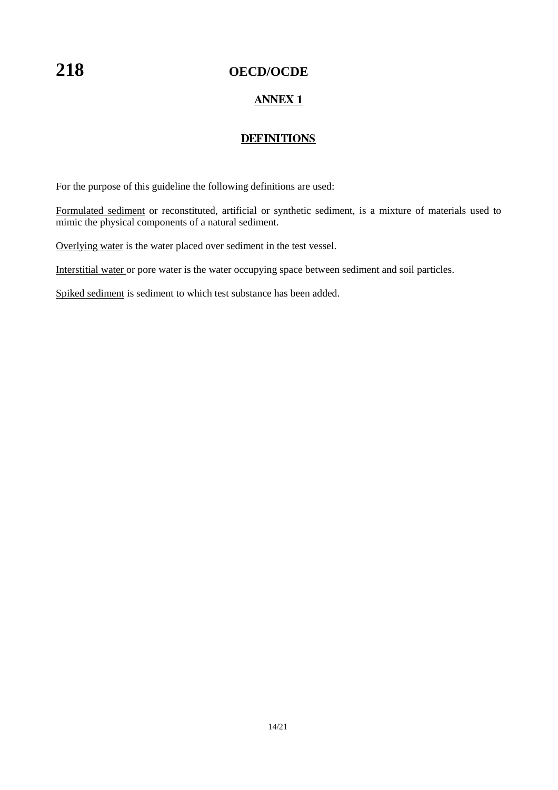### <u>ANNEX 1</u>

#### <u>DEFINITIONS</u>

For the purpose of this guideline the following definitions are used:

Formulated sediment or reconstituted, artificial or synthetic sediment, is a mixture of materials used to mimic the physical components of a natural sediment.

Overlying water is the water placed over sediment in the test vessel.

Interstitial water or pore water is the water occupying space between sediment and soil particles.

Spiked sediment is sediment to which test substance has been added.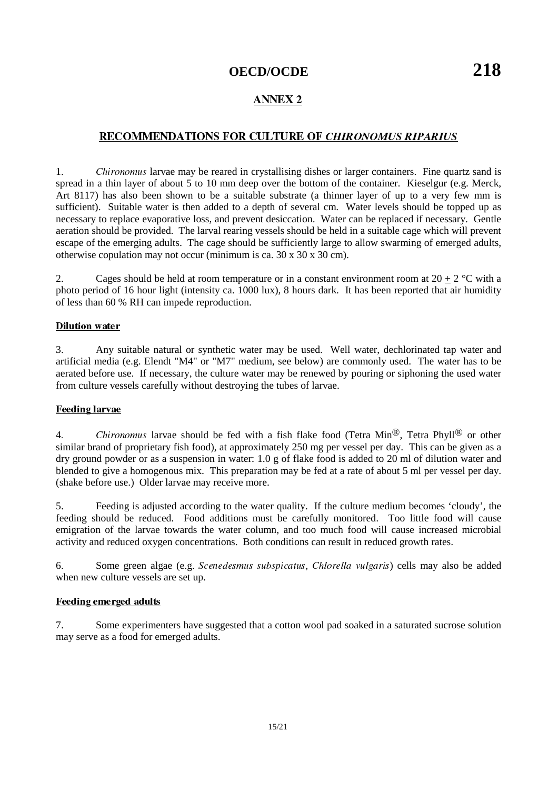### <u>ANNEX 2</u>

### RECOMMENDATIONS FOR CULTURE OF CHIRONOMUS RIPARIUS

1. Chironomus larvae may be reared in crystallising dishes or larger containers. Fine quartz sand is spread in a thin layer of about 5 to 10 mm deep over the bottom of the container. Kieselgur (e.g. Merck, Art 8117) has also been shown to be a suitable substrate (a thinner layer of up to a very few mm is sufficient). Suitable water is then added to a depth of several cm. Water levels should be topped up as necessary to replace evaporative loss, and prevent desiccation. Water can be replaced if necessary. Gentle aeration should be provided. The larval rearing vessels should be held in a suitable cage which will prevent escape of the emerging adults. The cage should be sufficiently large to allow swarming of emerged adults, otherwise copulation may not occur (minimum is ca. 30 x 30 x 30 cm).

2. Cages should be held at room temperature or in a constant environment room at  $20 + 2$  °C with a photo period of 16 hour light (intensity ca. 1000 lux), 8 hours dark. It has been reported that air humidity of less than 60 % RH can impede reproduction.

#### **Dilution water**

3. Any suitable natural or synthetic water may be used. Well water, dechlorinated tap water and artificial media (e.g. Elendt "M4" or "M7" medium, see below) are commonly used. The water has to be aerated before use. If necessary, the culture water may be renewed by pouring or siphoning the used water from culture vessels carefully without destroying the tubes of larvae.

#### **Feeding larvae**

4. Chironomus larvae should be fed with a fish flake food (Tetra Min<sup>®</sup>, Tetra Phyll<sup>®</sup> or other similar brand of proprietary fish food), at approximately 250 mg per vessel per day. This can be given as a dry ground powder or as a suspension in water: 1.0 g of flake food is added to 20 ml of dilution water and blended to give a homogenous mix. This preparation may be fed at a rate of about 5 ml per vessel per day. (shake before use.) Older larvae may receive more.

5. Feeding is adjusted according to the water quality. If the culture medium becomes 'cloudy', the feeding should be reduced. Food additions must be carefully monitored. Too little food will cause emigration of the larvae towards the water column, and too much food will cause increased microbial activity and reduced oxygen concentrations. Both conditions can result in reduced growth rates.

6. Some green algae (e.g. Scenedesmus subspicatus, Chlorella vulgaris) cells may also be added when new culture vessels are set up.

#### **Feeding emerged adults**

7. Some experimenters have suggested that a cotton wool pad soaked in a saturated sucrose solution may serve as a food for emerged adults.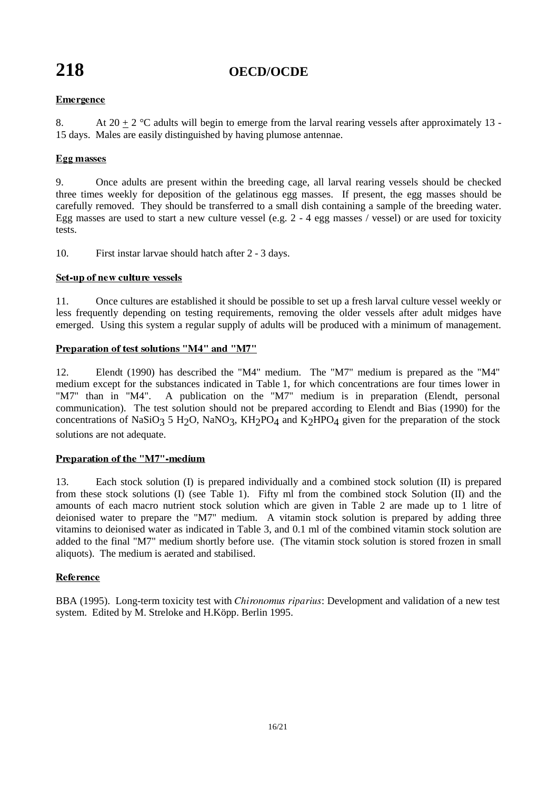#### **Emergence**

8. At  $20 + 2$  °C adults will begin to emerge from the larval rearing vessels after approximately 13 -15 days. Males are easily distinguished by having plumose antennae.

#### **Egg masses**

9. Once adults are present within the breeding cage, all larval rearing vessels should be checked three times weekly for deposition of the gelatinous egg masses. If present, the egg masses should be carefully removed. They should be transferred to a small dish containing a sample of the breeding water. Egg masses are used to start a new culture vessel (e.g.  $2 - 4$  egg masses / vessel) or are used for toxicity tests.

10. First instar larvae should hatch after 2 - 3 days.

#### Set-up of new culture vessels

11. Once cultures are established it should be possible to set up a fresh larval culture vessel weekly or less frequently depending on testing requirements, removing the older vessels after adult midges have emerged. Using this system a regular supply of adults will be produced with a minimum of management.

#### <u>Preparation of test solutions "M4" and "M7"</u>

12. Elendt (1990) has described the "M4" medium. The "M7" medium is prepared as the "M4" medium except for the substances indicated in Table 1, for which concentrations are four times lower in "M7" than in "M4". A publication on the "M7" medium is in preparation (Elendt, personal communication). The test solution should not be prepared according to Elendt and Bias (1990) for the concentrations of NaSiO<sub>3</sub> 5 H<sub>2</sub>O, NaNO<sub>3</sub>, KH<sub>2</sub>PO<sub>4</sub> and K<sub>2</sub>HPO<sub>4</sub> given for the preparation of the stock solutions are not adequate.

#### **Preparation of the "M7"-medium**

13. Each stock solution (I) is prepared individually and a combined stock solution (II) is prepared from these stock solutions (I) (see Table 1). Fifty ml from the combined stock Solution (II) and the amounts of each macro nutrient stock solution which are given in Table 2 are made up to 1 litre of deionised water to prepare the "M7" medium. A vitamin stock solution is prepared by adding three vitamins to deionised water as indicated in Table 3, and 0.1 ml of the combined vitamin stock solution are added to the final "M7" medium shortly before use. (The vitamin stock solution is stored frozen in small aliquots). The medium is aerated and stabilised.

#### Reference

BBA (1995). Long-term toxicity test with *Chironomus riparius*: Development and validation of a new test system. Edited by M. Streloke and H.Köpp. Berlin 1995.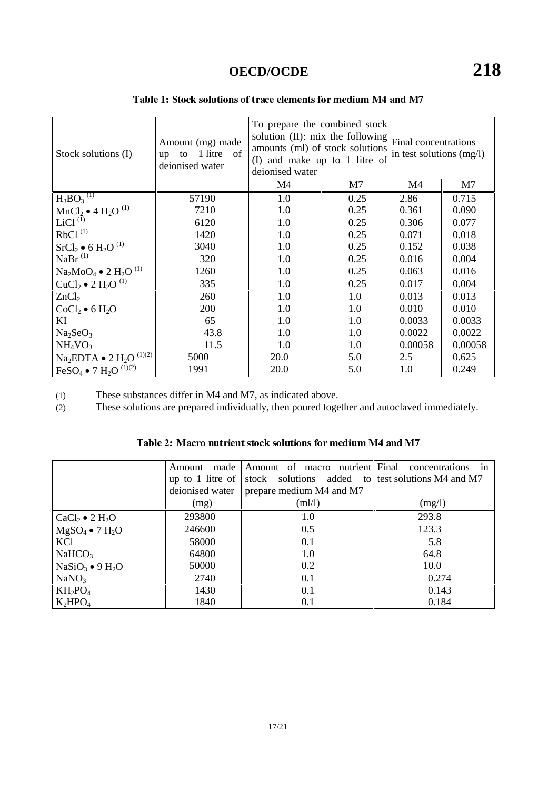#### Table 1: Stock solutions of trace elements for medium M4 and M7

| Stock solutions (I)                                      | Amount (mg) made<br>1 litre<br>of<br>to<br>up<br>deionised water | To prepare the combined stock<br>solution (II): mix the following<br>amounts (ml) of stock solutions<br>(I) and make up to 1 litre of<br>deionised water |      | Final concentrations<br>in test solutions $(mg/l)$ |         |
|----------------------------------------------------------|------------------------------------------------------------------|----------------------------------------------------------------------------------------------------------------------------------------------------------|------|----------------------------------------------------|---------|
|                                                          |                                                                  | M4                                                                                                                                                       | M7   | M4                                                 | M7      |
| $H_3BO_3^{(1)}$                                          | 57190                                                            | 1.0                                                                                                                                                      | 0.25 | 2.86                                               | 0.715   |
| $MnCl2 • 4 H2O(1)$                                       | 7210                                                             | 1.0                                                                                                                                                      | 0.25 | 0.361                                              | 0.090   |
| LiCl $^{(1)}$                                            | 6120                                                             | 1.0                                                                                                                                                      | 0.25 | 0.306                                              | 0.077   |
| RbCl <sup>(1)</sup>                                      | 1420                                                             | 1.0                                                                                                                                                      | 0.25 | 0.071                                              | 0.018   |
| $SrCl2 • 6 H2O(1)$                                       | 3040                                                             | 1.0                                                                                                                                                      | 0.25 | 0.152                                              | 0.038   |
| NaBr $^{(1)}$                                            | 320                                                              | 1.0                                                                                                                                                      | 0.25 | 0.016                                              | 0.004   |
| $Na2MoO4 • 2 H2O(1)$                                     | 1260                                                             | 1.0                                                                                                                                                      | 0.25 | 0.063                                              | 0.016   |
| $CuCl2 • 2 H2O(1)$                                       | 335                                                              | 1.0                                                                                                                                                      | 0.25 | 0.017                                              | 0.004   |
| ZnCl <sub>2</sub>                                        | 260                                                              | 1.0                                                                                                                                                      | 1.0  | 0.013                                              | 0.013   |
| CoCl <sub>2</sub> • 6 H <sub>2</sub> O                   | 200                                                              | 1.0                                                                                                                                                      | 1.0  | 0.010                                              | 0.010   |
| KI                                                       | 65                                                               | 1.0                                                                                                                                                      | 1.0  | 0.0033                                             | 0.0033  |
| Na <sub>2</sub> SeO <sub>3</sub>                         | 43.8                                                             | 1.0                                                                                                                                                      | 1.0  | 0.0022                                             | 0.0022  |
| NH <sub>4</sub> VO <sub>3</sub>                          | 11.5                                                             | 1.0                                                                                                                                                      | 1.0  | 0.00058                                            | 0.00058 |
| Na <sub>2</sub> EDTA • 2 $H_2O^{\overline{(1)(2)}}$      | 5000                                                             | 20.0                                                                                                                                                     | 5.0  | 2.5                                                | 0.625   |
| FeSO <sub>4</sub> • 7 H <sub>2</sub> O <sup>(1)(2)</sup> | 1991                                                             | 20.0                                                                                                                                                     | 5.0  | 1.0                                                | 0.249   |

(1) These substances differ in M4 and M7, as indicated above.<br>(2) These solutions are prepared individually, then poured toge

These solutions are prepared individually, then poured together and autoclaved immediately.

|                                                 | Amount                   | made   Amount of macro nutrient   Final concentrations | 1n     |
|-------------------------------------------------|--------------------------|--------------------------------------------------------|--------|
|                                                 | up to 1 litre of $\vert$ | stock solutions added to test solutions M4 and M7      |        |
|                                                 | deionised water          | prepare medium M4 and M7                               |        |
|                                                 | (mg)                     | (ml/l)                                                 | (mg/l) |
| $CaCl2 \bullet 2 H2O$                           | 293800                   | 1.0                                                    | 293.8  |
| $MgSO_4 \bullet 7 H_2O$                         | 246600                   | 0.5                                                    | 123.3  |
| <b>KCl</b>                                      | 58000                    | 0.1                                                    | 5.8    |
| NaHCO <sub>3</sub>                              | 64800                    | 1.0                                                    | 64.8   |
| NaSiO <sub>3</sub> $\bullet$ 9 H <sub>2</sub> O | 50000                    | 0.2                                                    | 10.0   |
| NaNO <sub>3</sub>                               | 2740                     | 0.1                                                    | 0.274  |
| $KH_2PO_4$                                      | 1430                     | 0.1                                                    | 0.143  |
| $K_2HPO_4$                                      | 1840                     | 0.1                                                    | 0.184  |

#### Table 2: Macro nutrient stock solutions for medium M4 and M7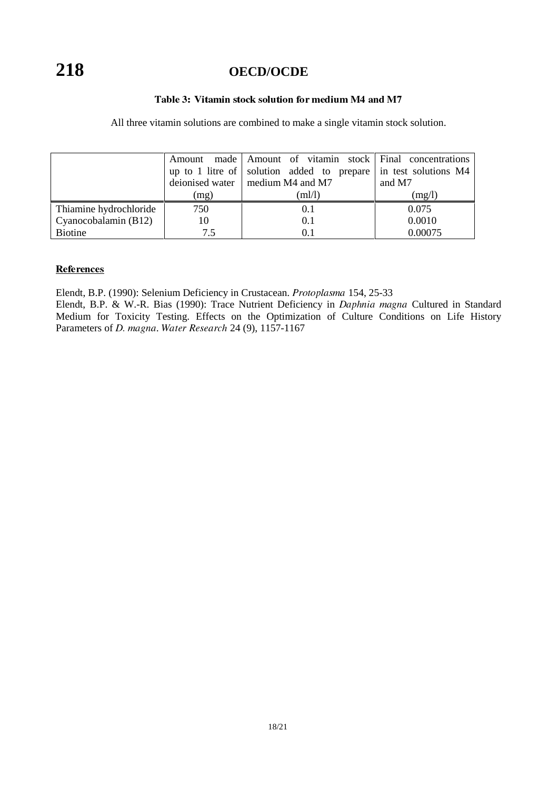#### Table 3: Vitamin stock solution for medium M4 and M7

All three vitamin solutions are combined to make a single vitamin stock solution.

|                        |      | Amount made   Amount of vitamin stock   Final concentrations                    |         |
|------------------------|------|---------------------------------------------------------------------------------|---------|
|                        |      | up to 1 litre of $\vert$ solution added to prepare $\vert$ in test solutions M4 |         |
|                        |      | deionised water $\vert$ medium M4 and M7                                        | and M7  |
|                        | (mg) | m!/l                                                                            | (mg/l)  |
| Thiamine hydrochloride | 750  | 0.1                                                                             | 0.075   |
| Cyanocobalamin (B12)   | 10   | 0.1                                                                             | 0.0010  |
| <b>Biotine</b>         | 7.5  | 0.1                                                                             | 0.00075 |

#### **References**

Elendt, B.P. (1990): Selenium Deficiency in Crustacean. Protoplasma 154, 25-33

Elendt, B.P. & W.-R. Bias (1990): Trace Nutrient Deficiency in *Daphnia magna* Cultured in Standard Medium for Toxicity Testing. Effects on the Optimization of Culture Conditions on Life History Parameters of D. magna. Water Research 24 (9), 1157-1167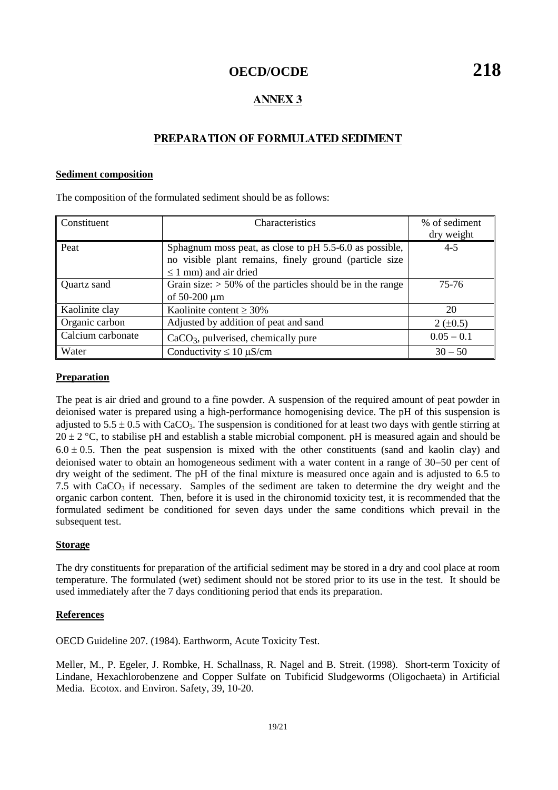### <u>ANNEX 3</u>

#### <u>PREPARATION OF FORMULATED SEDIMENT</u>

#### **Sediment composition**

The composition of the formulated sediment should be as follows:

| Constituent       | Characteristics                                              | % of sediment |
|-------------------|--------------------------------------------------------------|---------------|
|                   |                                                              | dry weight    |
| Peat              | Sphagnum moss peat, as close to pH 5.5-6.0 as possible,      | $4 - 5$       |
|                   | no visible plant remains, finely ground (particle size       |               |
|                   | $\leq$ 1 mm) and air dried                                   |               |
| Quartz sand       | Grain size: $> 50\%$ of the particles should be in the range | 75-76         |
|                   | of $50-200 \mu m$                                            |               |
| Kaolinite clay    | Kaolinite content $\geq 30\%$                                | 20            |
| Organic carbon    | Adjusted by addition of peat and sand                        | $2(\pm 0.5)$  |
| Calcium carbonate | $CaCO3$ , pulverised, chemically pure                        | $0.05 - 0.1$  |
| Water             | Conductivity $\leq 10 \mu$ S/cm                              | $30 - 50$     |

#### **Preparation**

The peat is air dried and ground to a fine powder. A suspension of the required amount of peat powder in deionised water is prepared using a high-performance homogenising device. The pH of this suspension is adjusted to  $5.5 \pm 0.5$  with CaCO<sub>3</sub>. The suspension is conditioned for at least two days with gentle stirring at  $20 \pm 2$  °C, to stabilise pH and establish a stable microbial component. pH is measured again and should be  $6.0 \pm 0.5$ . Then the peat suspension is mixed with the other constituents (sand and kaolin clay) and deionised water to obtain an homogeneous sediment with a water content in a range of 30–50 per cent of dry weight of the sediment. The pH of the final mixture is measured once again and is adjusted to 6.5 to 7.5 with  $CaCO<sub>3</sub>$  if necessary. Samples of the sediment are taken to determine the dry weight and the organic carbon content. Then, before it is used in the chironomid toxicity test, it is recommended that the formulated sediment be conditioned for seven days under the same conditions which prevail in the subsequent test.

#### **Storage**

The dry constituents for preparation of the artificial sediment may be stored in a dry and cool place at room temperature. The formulated (wet) sediment should not be stored prior to its use in the test. It should be used immediately after the 7 days conditioning period that ends its preparation.

#### **References**

OECD Guideline 207. (1984). Earthworm, Acute Toxicity Test.

Meller, M., P. Egeler, J. Rombke, H. Schallnass, R. Nagel and B. Streit. (1998). Short-term Toxicity of Lindane, Hexachlorobenzene and Copper Sulfate on Tubificid Sludgeworms (Oligochaeta) in Artificial Media. Ecotox. and Environ. Safety, 39, 10-20.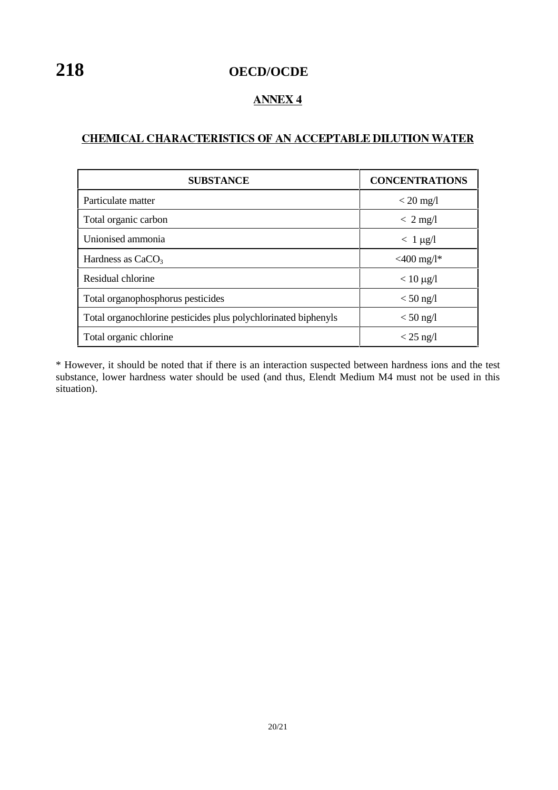### <u>ANNEX 4</u>

### <u>CHEMICAL CHARACTERISTICS OF AN ACCEPTABLE DILUTION WATER</u>

| <b>SUBSTANCE</b>                                               | <b>CONCENTRATIONS</b> |
|----------------------------------------------------------------|-----------------------|
| Particulate matter                                             | $<$ 20 mg/l           |
| Total organic carbon                                           | $< 2$ mg/l            |
| Unionised ammonia                                              | $< 1 \mu g/l$         |
| Hardness as $CaCO3$                                            | $<$ 400 mg/l*         |
| Residual chlorine                                              | $< 10 \mu g/l$        |
| Total organophosphorus pesticides                              | $< 50$ ng/l           |
| Total organochlorine pesticides plus polychlorinated biphenyls | $< 50$ ng/l           |
| Total organic chlorine                                         | $<$ 25 ng/l           |

\* However, it should be noted that if there is an interaction suspected between hardness ions and the test substance, lower hardness water should be used (and thus, Elendt Medium M4 must not be used in this situation).